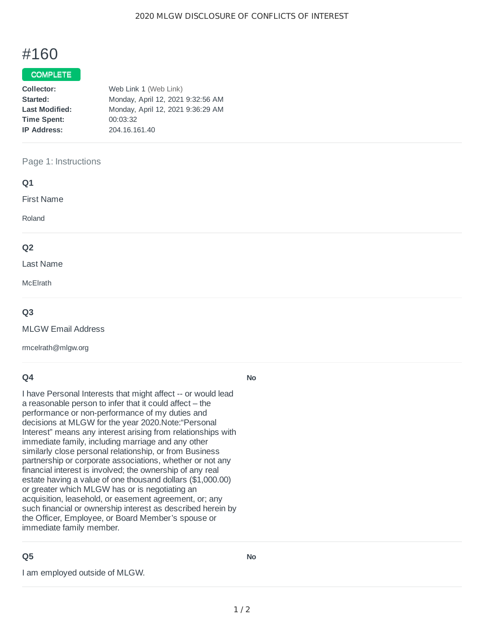# #160

### **COMPLETE**

| Collector:            | Web Link 1 (Web Link)             |
|-----------------------|-----------------------------------|
| Started:              | Monday, April 12, 2021 9:32:56 AM |
| <b>Last Modified:</b> | Monday, April 12, 2021 9:36:29 AM |
| <b>Time Spent:</b>    | 00:03:32                          |
| <b>IP Address:</b>    | 204.16.161.40                     |

#### Page 1: Instructions

| Q1             |  |  |
|----------------|--|--|
| First Name     |  |  |
| Roland         |  |  |
| Q <sub>2</sub> |  |  |
| Last Name      |  |  |
| McElrath       |  |  |
|                |  |  |

#### **Q3**

MLGW Email Address

rmcelrath@mlgw.org

#### **Q4**

I have Personal Interests that might affect -- or would lead a reasonable person to infer that it could affect – the performance or non-performance of my duties and decisions at MLGW for the year 2020.Note:"Personal Interest" means any interest arising from relationships with immediate family, including marriage and any other similarly close personal relationship, or from Business partnership or corporate associations, whether or not any financial interest is involved; the ownership of any real estate having a value of one thousand dollars (\$1,000.00) or greater which MLGW has or is negotiating an acquisition, leasehold, or easement agreement, or; any such financial or ownership interest as described herein by the Officer, Employee, or Board Member's spouse or immediate family member.

## **Q5**

I am employed outside of MLGW.

**No**

**No**